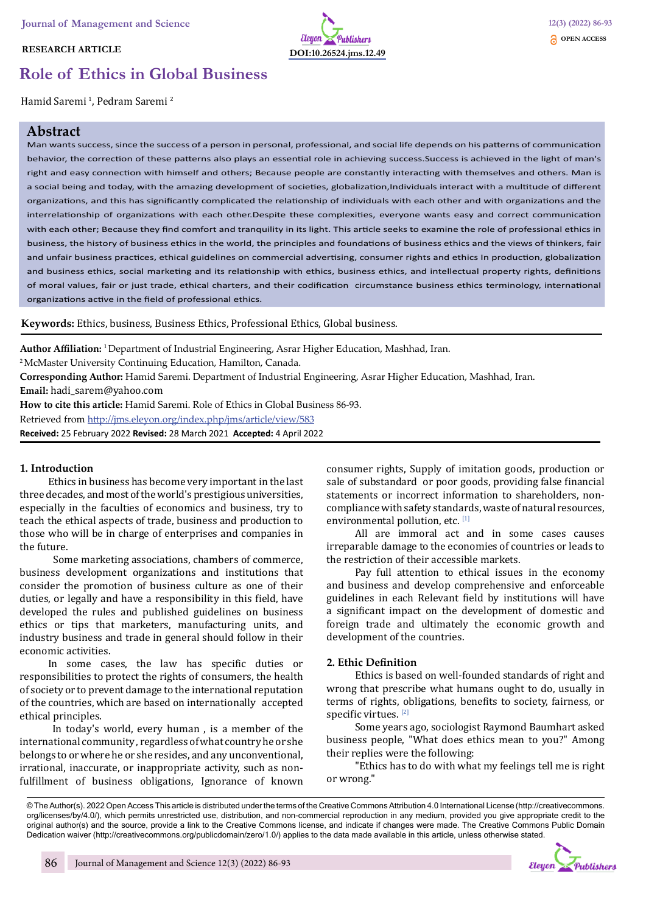#### **RESEARCH ARTICLE**

# **DOI:10.26524.jms.12.49**

# **Role of Ethics in Global Business**

Hamid Saremi<sup>1</sup>, Pedram Saremi<sup>2</sup>

# **Abstract**

Man wants success, since the success of a person in personal, professional, and social life depends on his patterns of communication behavior, the correction of these patterns also plays an essential role in achieving success.Success is achieved in the light of man's right and easy connection with himself and others; Because people are constantly interacting with themselves and others. Man is a social being and today, with the amazing development of societies, globalization,Individuals interact with a multitude of different organizations, and this has significantly complicated the relationship of individuals with each other and with organizations and the interrelationship of organizations with each other.Despite these complexities, everyone wants easy and correct communication with each other; Because they find comfort and tranquility in its light. This article seeks to examine the role of professional ethics in business, the history of business ethics in the world, the principles and foundations of business ethics and the views of thinkers, fair and unfair business practices, ethical guidelines on commercial advertising, consumer rights and ethics In production, globalization and business ethics, social marketing and its relationship with ethics, business ethics, and intellectual property rights, definitions of moral values, fair or just trade, ethical charters, and their codification circumstance business ethics terminology, international organizations active in the field of professional ethics.

**Keywords:** Ethics, business, Business Ethics, Professional Ethics, Global business.

**Author Affiliation:** 1 Department of Industrial Engineering, Asrar Higher Education, Mashhad, Iran.

2 McMaster University Continuing Education, Hamilton, Canada.

**Corresponding Author:** Hamid Saremi. Department of Industrial Engineering, Asrar Higher Education, Mashhad, Iran.

**Email:** hadi\_sarem@yahoo.com

**How to cite this article:** Hamid Saremi. Role of Ethics in Global Business 86-93.

Retrieved from http://jms.eleyon.org/index.php/jms/article/view/583

**Received:** 25 February 2022 **Revised:** 28 March 2021 **Accepted:** 4 April 2022

# **1. Introduction**

Ethics in business has become very important in the last three decades, and most of the world's prestigious universities, especially in the faculties of economics and business, try to teach the ethical aspects of trade, business and production to those who will be in charge of enterprises and companies in the future.

 Some marketing associations, chambers of commerce, business development organizations and institutions that consider the promotion of business culture as one of their duties, or legally and have a responsibility in this field, have developed the rules and published guidelines on business ethics or tips that marketers, manufacturing units, and industry business and trade in general should follow in their economic activities.

In some cases, the law has specific duties or responsibilities to protect the rights of consumers, the health of society or to prevent damage to the international reputation of the countries, which are based on internationally accepted ethical principles.

 In today's world, every human , is a member of the international community , regardless of what country he or she belongs to or where he or she resides, and any unconventional, irrational, inaccurate, or inappropriate activity, such as nonfulfillment of business obligations, Ignorance of known consumer rights, Supply of imitation goods, production or sale of substandard or poor goods, providing false financial statements or incorrect information to shareholders, noncompliance with safety standards, waste of natural resources, environmental pollution, etc. [1]

All are immoral act and in some cases causes irreparable damage to the economies of countries or leads to the restriction of their accessible markets.

Pay full attention to ethical issues in the economy and business and develop comprehensive and enforceable guidelines in each Relevant field by institutions will have a significant impact on the development of domestic and foreign trade and ultimately the economic growth and development of the countries.

# **2. Ethic Definition**

Ethics is based on well-founded standards of right and wrong that prescribe what humans ought to do, usually in terms of rights, obligations, benefits to society, fairness, or specific virtues. [2]

Some years ago, sociologist Raymond Baumhart asked business people, "What does ethics mean to you?" Among their replies were the following:

"Ethics has to do with what my feelings tell me is right or wrong."

© The Author(s). 2022 Open Access This article is distributed under the terms of the Creative Commons Attribution 4.0 International License (http://creativecommons. org/licenses/by/4.0/), which permits unrestricted use, distribution, and non-commercial reproduction in any medium, provided you give appropriate credit to the original author(s) and the source, provide a link to the Creative Commons license, and indicate if changes were made. The Creative Commons Public Domain Dedication waiver (http://creativecommons.org/publicdomain/zero/1.0/) applies to the data made available in this article, unless otherwise stated.

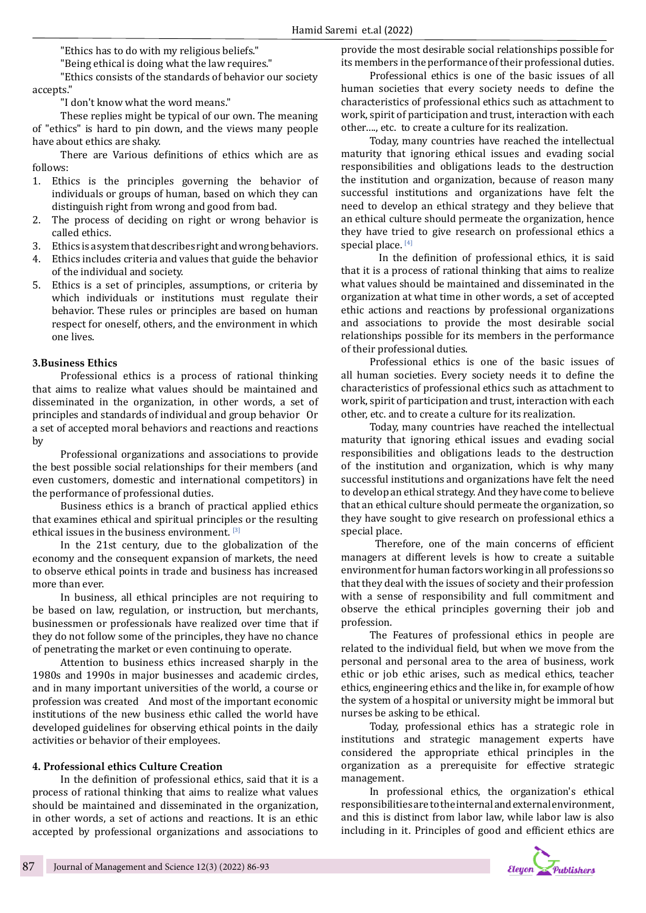"Ethics has to do with my religious beliefs."

"Being ethical is doing what the law requires."

"Ethics consists of the standards of behavior our society accepts."

"I don't know what the word means."

These replies might be typical of our own. The meaning of "ethics" is hard to pin down, and the views many people have about ethics are shaky.

There are Various definitions of ethics which are as follows:

- 1. Ethics is the principles governing the behavior of individuals or groups of human, based on which they can distinguish right from wrong and good from bad.
- 2. The process of deciding on right or wrong behavior is called ethics.
- 3. Ethics is a system that describes right and wrong behaviors.<br>4. Ethics includes criteria and values that guide the behavior
- 4. Ethics includes criteria and values that guide the behavior of the individual and society.
- 5. Ethics is a set of principles, assumptions, or criteria by which individuals or institutions must regulate their behavior. These rules or principles are based on human respect for oneself, others, and the environment in which one lives.

# **3.Business Ethics**

Professional ethics is a process of rational thinking that aims to realize what values should be maintained and disseminated in the organization, in other words, a set of principles and standards of individual and group behavior Or a set of accepted moral behaviors and reactions and reactions by

Professional organizations and associations to provide the best possible social relationships for their members (and even customers, domestic and international competitors) in the performance of professional duties.

Business ethics is a branch of practical applied ethics that examines ethical and spiritual principles or the resulting ethical issues in the business environment. [3]

In the 21st century, due to the globalization of the economy and the consequent expansion of markets, the need to observe ethical points in trade and business has increased more than ever.

In business, all ethical principles are not requiring to be based on law, regulation, or instruction, but merchants, businessmen or professionals have realized over time that if they do not follow some of the principles, they have no chance of penetrating the market or even continuing to operate.

Attention to business ethics increased sharply in the 1980s and 1990s in major businesses and academic circles, and in many important universities of the world, a course or profession was created And most of the important economic institutions of the new business ethic called the world have developed guidelines for observing ethical points in the daily activities or behavior of their employees.

#### **4. Professional ethics Culture Creation**

In the definition of professional ethics, said that it is a process of rational thinking that aims to realize what values should be maintained and disseminated in the organization, in other words, a set of actions and reactions. It is an ethic accepted by professional organizations and associations to provide the most desirable social relationships possible for its members in the performance of their professional duties.

Professional ethics is one of the basic issues of all human societies that every society needs to define the characteristics of professional ethics such as attachment to work, spirit of participation and trust, interaction with each other…., etc. to create a culture for its realization.

Today, many countries have reached the intellectual maturity that ignoring ethical issues and evading social responsibilities and obligations leads to the destruction the institution and organization, because of reason many successful institutions and organizations have felt the need to develop an ethical strategy and they believe that an ethical culture should permeate the organization, hence they have tried to give research on professional ethics a special place. [4]

 In the definition of professional ethics, it is said that it is a process of rational thinking that aims to realize what values should be maintained and disseminated in the organization at what time in other words, a set of accepted ethic actions and reactions by professional organizations and associations to provide the most desirable social relationships possible for its members in the performance of their professional duties.

Professional ethics is one of the basic issues of all human societies. Every society needs it to define the characteristics of professional ethics such as attachment to work, spirit of participation and trust, interaction with each other, etc. and to create a culture for its realization.

Today, many countries have reached the intellectual maturity that ignoring ethical issues and evading social responsibilities and obligations leads to the destruction of the institution and organization, which is why many successful institutions and organizations have felt the need to develop an ethical strategy. And they have come to believe that an ethical culture should permeate the organization, so they have sought to give research on professional ethics a special place.

 Therefore, one of the main concerns of efficient managers at different levels is how to create a suitable environment for human factors working in all professions so that they deal with the issues of society and their profession with a sense of responsibility and full commitment and observe the ethical principles governing their job and profession.

The Features of professional ethics in people are related to the individual field, but when we move from the personal and personal area to the area of business, work ethic or job ethic arises, such as medical ethics, teacher ethics, engineering ethics and the like in, for example of how the system of a hospital or university might be immoral but nurses be asking to be ethical.

Today, professional ethics has a strategic role in institutions and strategic management experts have considered the appropriate ethical principles in the organization as a prerequisite for effective strategic management.

In professional ethics, the organization's ethical responsibilities are to the internal and external environment, and this is distinct from labor law, while labor law is also including in it. Principles of good and efficient ethics are

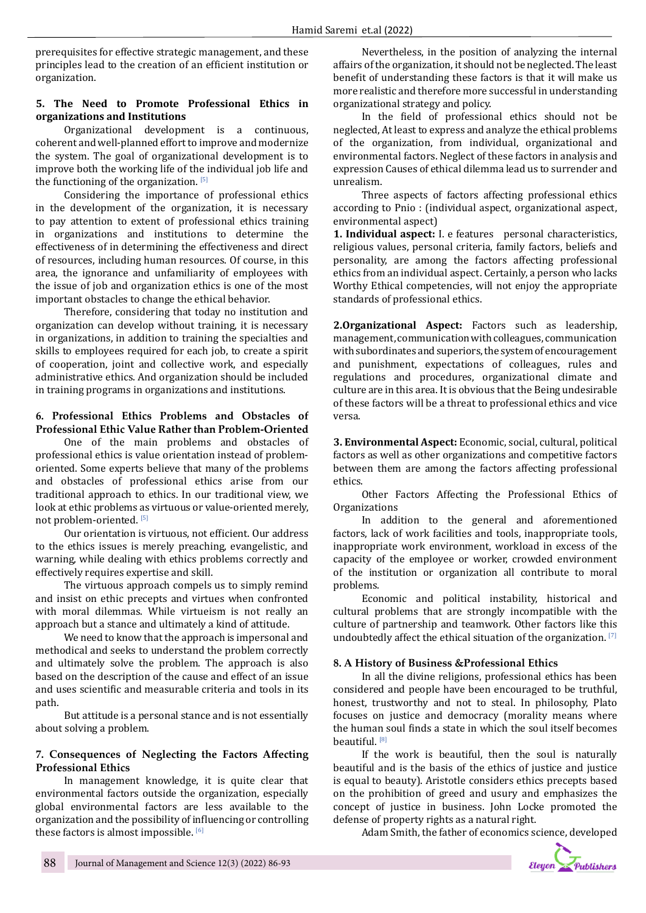prerequisites for effective strategic management, and these principles lead to the creation of an efficient institution or organization.

# **5. The Need to Promote Professional Ethics in organizations and Institutions**

Organizational development is a continuous, coherent and well-planned effort to improve and modernize the system. The goal of organizational development is to improve both the working life of the individual job life and the functioning of the organization. [5]

Considering the importance of professional ethics in the development of the organization, it is necessary to pay attention to extent of professional ethics training in organizations and institutions to determine the effectiveness of in determining the effectiveness and direct of resources, including human resources. Of course, in this area, the ignorance and unfamiliarity of employees with the issue of job and organization ethics is one of the most important obstacles to change the ethical behavior.

Therefore, considering that today no institution and organization can develop without training, it is necessary in organizations, in addition to training the specialties and skills to employees required for each job, to create a spirit of cooperation, joint and collective work, and especially administrative ethics. And organization should be included in training programs in organizations and institutions.

# **6. Professional Ethics Problems and Obstacles of Professional Ethic Value Rather than Problem-Oriented**

One of the main problems and obstacles of professional ethics is value orientation instead of problemoriented. Some experts believe that many of the problems and obstacles of professional ethics arise from our traditional approach to ethics. In our traditional view, we look at ethic problems as virtuous or value-oriented merely, not problem-oriented. [5]

Our orientation is virtuous, not efficient. Our address to the ethics issues is merely preaching, evangelistic, and warning, while dealing with ethics problems correctly and effectively requires expertise and skill.

The virtuous approach compels us to simply remind and insist on ethic precepts and virtues when confronted with moral dilemmas. While virtueism is not really an approach but a stance and ultimately a kind of attitude.

We need to know that the approach is impersonal and methodical and seeks to understand the problem correctly and ultimately solve the problem. The approach is also based on the description of the cause and effect of an issue and uses scientific and measurable criteria and tools in its path.

But attitude is a personal stance and is not essentially about solving a problem.

# **7. Consequences of Neglecting the Factors Affecting Professional Ethics**

In management knowledge, it is quite clear that environmental factors outside the organization, especially global environmental factors are less available to the organization and the possibility of influencing or controlling these factors is almost impossible. [6]

Nevertheless, in the position of analyzing the internal affairs of the organization, it should not be neglected. The least benefit of understanding these factors is that it will make us more realistic and therefore more successful in understanding organizational strategy and policy.

In the field of professional ethics should not be neglected, At least to express and analyze the ethical problems of the organization, from individual, organizational and environmental factors. Neglect of these factors in analysis and expression Causes of ethical dilemma lead us to surrender and unrealism.

Three aspects of factors affecting professional ethics according to Pnio : (individual aspect, organizational aspect, environmental aspect)

**1. Individual aspect:** I. e features personal characteristics, religious values, personal criteria, family factors, beliefs and personality, are among the factors affecting professional ethics from an individual aspect. Certainly, a person who lacks Worthy Ethical competencies, will not enjoy the appropriate standards of professional ethics.

**2.Organizational Aspect:** Factors such as leadership, management, communication with colleagues, communication with subordinates and superiors, the system of encouragement and punishment, expectations of colleagues, rules and regulations and procedures, organizational climate and culture are in this area. It is obvious that the Being undesirable of these factors will be a threat to professional ethics and vice versa.

**3. Environmental Aspect:** Economic, social, cultural, political factors as well as other organizations and competitive factors between them are among the factors affecting professional ethics.

Other Factors Affecting the Professional Ethics of Organizations

In addition to the general and aforementioned factors, lack of work facilities and tools, inappropriate tools, inappropriate work environment, workload in excess of the capacity of the employee or worker, crowded environment of the institution or organization all contribute to moral problems.

Economic and political instability, historical and cultural problems that are strongly incompatible with the culture of partnership and teamwork. Other factors like this undoubtedly affect the ethical situation of the organization. [7]

# **8. A History of Business &Professional Ethics**

In all the divine religions, professional ethics has been considered and people have been encouraged to be truthful, honest, trustworthy and not to steal. In philosophy, Plato focuses on justice and democracy (morality means where the human soul finds a state in which the soul itself becomes beautiful.<sup>[8]</sup>

If the work is beautiful, then the soul is naturally beautiful and is the basis of the ethics of justice and justice is equal to beauty). Aristotle considers ethics precepts based on the prohibition of greed and usury and emphasizes the concept of justice in business. John Locke promoted the defense of property rights as a natural right.

Adam Smith, the father of economics science, developed

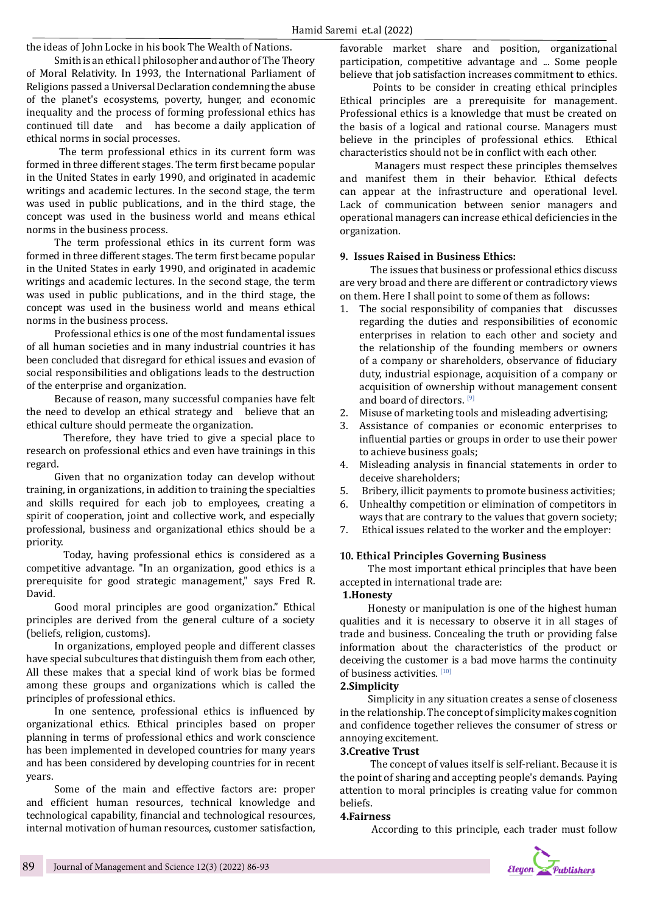the ideas of John Locke in his book The Wealth of Nations.

Smith is an ethical l philosopher and author of The Theory of Moral Relativity. In 1993, the International Parliament of Religions passed a Universal Declaration condemning the abuse of the planet's ecosystems, poverty, hunger, and economic inequality and the process of forming professional ethics has continued till date and has become a daily application of ethical norms in social processes.

 The term professional ethics in its current form was formed in three different stages. The term first became popular in the United States in early 1990, and originated in academic writings and academic lectures. In the second stage, the term was used in public publications, and in the third stage, the concept was used in the business world and means ethical norms in the business process.

The term professional ethics in its current form was formed in three different stages. The term first became popular in the United States in early 1990, and originated in academic writings and academic lectures. In the second stage, the term was used in public publications, and in the third stage, the concept was used in the business world and means ethical norms in the business process.

Professional ethics is one of the most fundamental issues of all human societies and in many industrial countries it has been concluded that disregard for ethical issues and evasion of social responsibilities and obligations leads to the destruction of the enterprise and organization.

Because of reason, many successful companies have felt the need to develop an ethical strategy and believe that an ethical culture should permeate the organization.

 Therefore, they have tried to give a special place to research on professional ethics and even have trainings in this regard.

Given that no organization today can develop without training, in organizations, in addition to training the specialties and skills required for each job to employees, creating a spirit of cooperation, joint and collective work, and especially professional, business and organizational ethics should be a priority.

 Today, having professional ethics is considered as a competitive advantage. "In an organization, good ethics is a prerequisite for good strategic management," says Fred R. David.

Good moral principles are good organization." Ethical principles are derived from the general culture of a society (beliefs, religion, customs).

In organizations, employed people and different classes have special subcultures that distinguish them from each other, All these makes that a special kind of work bias be formed among these groups and organizations which is called the principles of professional ethics.

In one sentence, professional ethics is influenced by organizational ethics. Ethical principles based on proper planning in terms of professional ethics and work conscience has been implemented in developed countries for many years and has been considered by developing countries for in recent years.

Some of the main and effective factors are: proper and efficient human resources, technical knowledge and technological capability, financial and technological resources, internal motivation of human resources, customer satisfaction,

favorable market share and position, organizational participation, competitive advantage and ... Some people believe that job satisfaction increases commitment to ethics.

 Points to be consider in creating ethical principles Ethical principles are a prerequisite for management. Professional ethics is a knowledge that must be created on the basis of a logical and rational course. Managers must believe in the principles of professional ethics. Ethical characteristics should not be in conflict with each other.

 Managers must respect these principles themselves and manifest them in their behavior. Ethical defects can appear at the infrastructure and operational level. Lack of communication between senior managers and operational managers can increase ethical deficiencies in the organization.

# **9. Issues Raised in Business Ethics:**

 The issues that business or professional ethics discuss are very broad and there are different or contradictory views on them. Here I shall point to some of them as follows:<br>1. The social responsibility of companies that disc

- The social responsibility of companies that discusses regarding the duties and responsibilities of economic enterprises in relation to each other and society and the relationship of the founding members or owners of a company or shareholders, observance of fiduciary duty, industrial espionage, acquisition of a company or acquisition of ownership without management consent and board of directors.<sup>[9]</sup>
- 2. Misuse of marketing tools and misleading advertising;<br>3. Assistance of companies or economic enterprises t
- Assistance of companies or economic enterprises to influential parties or groups in order to use their power to achieve business goals;
- 4. Misleading analysis in financial statements in order to deceive shareholders;
- 5. Bribery, illicit payments to promote business activities;<br>6. Unhealthy competition or elimination of competitors in
- Unhealthy competition or elimination of competitors in ways that are contrary to the values that govern society;
- 7. Ethical issues related to the worker and the employer:

# **10. Ethical Principles Governing Business**

The most important ethical principles that have been accepted in international trade are:

# **1.Honesty**

Honesty or manipulation is one of the highest human qualities and it is necessary to observe it in all stages of trade and business. Concealing the truth or providing false information about the characteristics of the product or deceiving the customer is a bad move harms the continuity of business activities. [10]

# **2.Simplicity**

Simplicity in any situation creates a sense of closeness in the relationship. The concept of simplicity makes cognition and confidence together relieves the consumer of stress or annoying excitement.

#### **3.Creative Trust**

 The concept of values itself is self-reliant. Because it is the point of sharing and accepting people's demands. Paying attention to moral principles is creating value for common beliefs.

# **4.Fairness**

According to this principle, each trader must follow

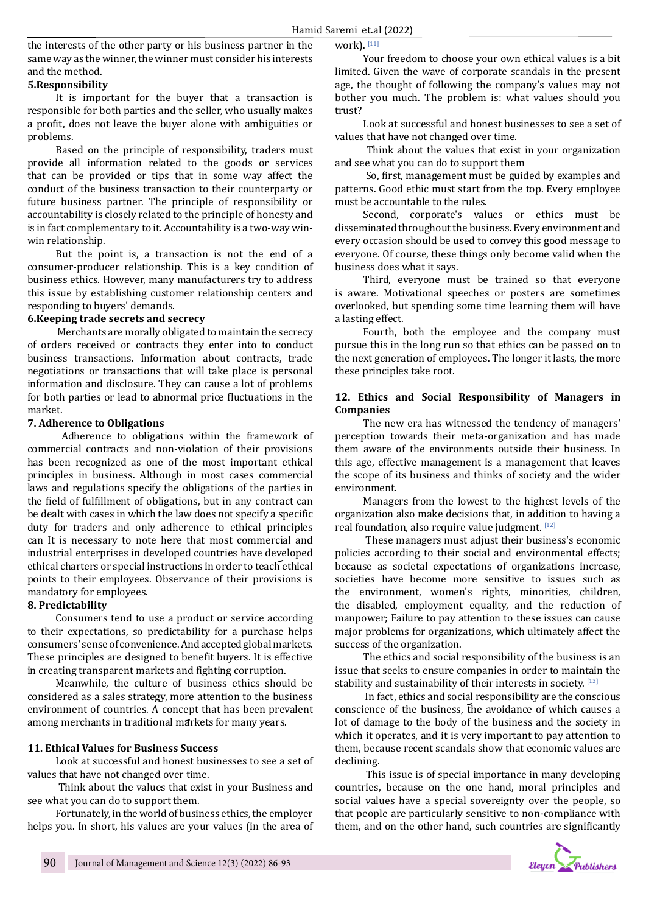the interests of the other party or his business partner in the same way as the winner, the winner must consider his interests and the method.

# **5.Responsibility**

It is important for the buyer that a transaction is responsible for both parties and the seller, who usually makes a profit, does not leave the buyer alone with ambiguities or problems.

Based on the principle of responsibility, traders must provide all information related to the goods or services that can be provided or tips that in some way affect the conduct of the business transaction to their counterparty or future business partner. The principle of responsibility or accountability is closely related to the principle of honesty and is in fact complementary to it. Accountability is a two-way winwin relationship.

But the point is, a transaction is not the end of a consumer-producer relationship. This is a key condition of business ethics. However, many manufacturers try to address this issue by establishing customer relationship centers and responding to buyers' demands.

# **6.Keeping trade secrets and secrecy**

 Merchants are morally obligated to maintain the secrecy of orders received or contracts they enter into to conduct business transactions. Information about contracts, trade negotiations or transactions that will take place is personal information and disclosure. They can cause a lot of problems for both parties or lead to abnormal price fluctuations in the market.

# **7. Adherence to Obligations**

 Adherence to obligations within the framework of commercial contracts and non-violation of their provisions has been recognized as one of the most important ethical principles in business. Although in most cases commercial laws and regulations specify the obligations of the parties in the field of fulfillment of obligations, but in any contract can be dealt with cases in which the law does not specify a specific duty for traders and only adherence to ethical principles can It is necessary to note here that most commercial and industrial enterprises in developed countries have developed ethical charters or special instructions in order to teach ethical points to their employees. Observance of their provisions is mandatory for employees.

# **8. Predictability**

Consumers tend to use a product or service according to their expectations, so predictability for a purchase helps consumers' sense of convenience. And accepted global markets. These principles are designed to benefit buyers. It is effective in creating transparent markets and fighting corruption.

Meanwhile, the culture of business ethics should be considered as a sales strategy, more attention to the business environment of countries. A concept that has been prevalent among merchants in traditional markets for many years.

# **11. Ethical Values for Business Success**

Look at successful and honest businesses to see a set of values that have not changed over time.

 Think about the values that exist in your Business and see what you can do to support them.

Fortunately, in the world of business ethics, the employer helps you. In short, his values are your values (in the area of work). [11]

Your freedom to choose your own ethical values is a bit limited. Given the wave of corporate scandals in the present age, the thought of following the company's values may not bother you much. The problem is: what values should you trust?

Look at successful and honest businesses to see a set of values that have not changed over time.

 Think about the values that exist in your organization and see what you can do to support them

 So, first, management must be guided by examples and patterns. Good ethic must start from the top. Every employee must be accountable to the rules.

Second, corporate's values or ethics must be disseminated throughout the business. Every environment and every occasion should be used to convey this good message to everyone. Of course, these things only become valid when the business does what it says.

Third, everyone must be trained so that everyone is aware. Motivational speeches or posters are sometimes overlooked, but spending some time learning them will have a lasting effect.

Fourth, both the employee and the company must pursue this in the long run so that ethics can be passed on to the next generation of employees. The longer it lasts, the more these principles take root.

# **12. Ethics and Social Responsibility of Managers in Companies**

The new era has witnessed the tendency of managers' perception towards their meta-organization and has made them aware of the environments outside their business. In this age, effective management is a management that leaves the scope of its business and thinks of society and the wider environment.

Managers from the lowest to the highest levels of the organization also make decisions that, in addition to having a real foundation, also require value judgment. [12]

 These managers must adjust their business's economic policies according to their social and environmental effects; because as societal expectations of organizations increase, societies have become more sensitive to issues such as the environment, women's rights, minorities, children, the disabled, employment equality, and the reduction of manpower; Failure to pay attention to these issues can cause major problems for organizations, which ultimately affect the success of the organization.

The ethics and social responsibility of the business is an issue that seeks to ensure companies in order to maintain the stability and sustainability of their interests in society. [13]

 In fact, ethics and social responsibility are the conscious conscience of the business, the avoidance of which causes a lot of damage to the body of the business and the society in which it operates, and it is very important to pay attention to them, because recent scandals show that economic values are declining.

 This issue is of special importance in many developing countries, because on the one hand, moral principles and social values have a special sovereignty over the people, so that people are particularly sensitive to non-compliance with them, and on the other hand, such countries are significantly

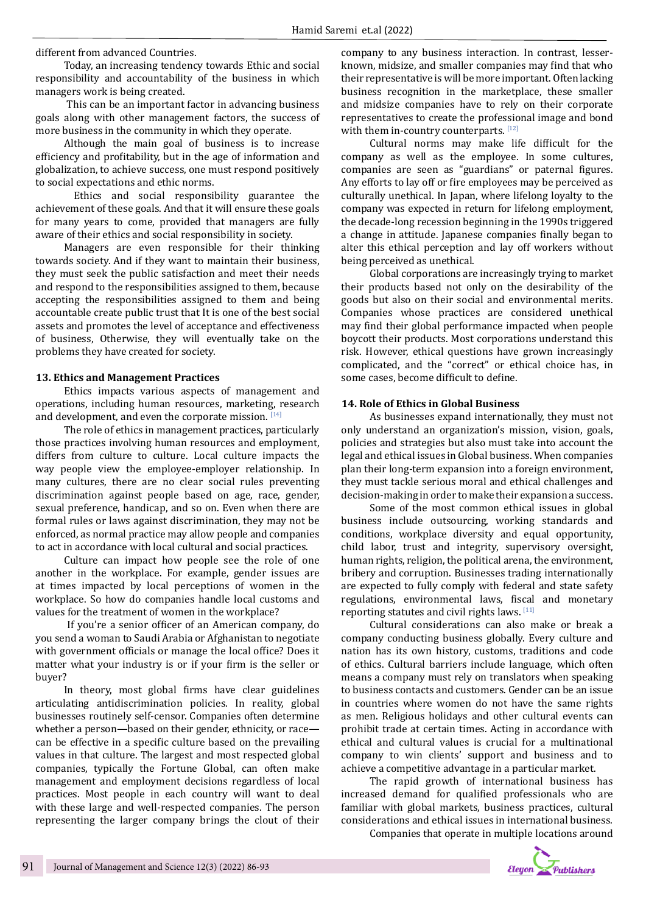different from advanced Countries.

Today, an increasing tendency towards Ethic and social responsibility and accountability of the business in which managers work is being created.

 This can be an important factor in advancing business goals along with other management factors, the success of more business in the community in which they operate.

Although the main goal of business is to increase efficiency and profitability, but in the age of information and globalization, to achieve success, one must respond positively to social expectations and ethic norms.

 Ethics and social responsibility guarantee the achievement of these goals. And that it will ensure these goals for many years to come, provided that managers are fully aware of their ethics and social responsibility in society.

Managers are even responsible for their thinking towards society. And if they want to maintain their business, they must seek the public satisfaction and meet their needs and respond to the responsibilities assigned to them, because accepting the responsibilities assigned to them and being accountable create public trust that It is one of the best social assets and promotes the level of acceptance and effectiveness of business, Otherwise, they will eventually take on the problems they have created for society.

#### **13. Ethics and Management Practices**

Ethics impacts various aspects of management and operations, including human resources, marketing, research and development, and even the corporate mission. [14]

The role of ethics in management practices, particularly those practices involving human resources and employment, differs from culture to culture. Local culture impacts the way people view the employee-employer relationship. In many cultures, there are no clear social rules preventing discrimination against people based on age, race, gender, sexual preference, handicap, and so on. Even when there are formal rules or laws against discrimination, they may not be enforced, as normal practice may allow people and companies to act in accordance with local cultural and social practices.

Culture can impact how people see the role of one another in the workplace. For example, gender issues are at times impacted by local perceptions of women in the workplace. So how do companies handle local customs and values for the treatment of women in the workplace?

 If you're a senior officer of an American company, do you send a woman to Saudi Arabia or Afghanistan to negotiate with government officials or manage the local office? Does it matter what your industry is or if your firm is the seller or buyer?

In theory, most global firms have clear guidelines articulating antidiscrimination policies. In reality, global businesses routinely self-censor. Companies often determine whether a person—based on their gender, ethnicity, or race can be effective in a specific culture based on the prevailing values in that culture. The largest and most respected global companies, typically the Fortune Global, can often make management and employment decisions regardless of local practices. Most people in each country will want to deal with these large and well-respected companies. The person representing the larger company brings the clout of their company to any business interaction. In contrast, lesserknown, midsize, and smaller companies may find that who their representative is will be more important. Often lacking business recognition in the marketplace, these smaller and midsize companies have to rely on their corporate representatives to create the professional image and bond with them in-country counterparts. [12]

Cultural norms may make life difficult for the company as well as the employee. In some cultures, companies are seen as "guardians" or paternal figures. Any efforts to lay off or fire employees may be perceived as culturally unethical. In Japan, where lifelong loyalty to the company was expected in return for lifelong employment, the decade-long recession beginning in the 1990s triggered a change in attitude. Japanese companies finally began to alter this ethical perception and lay off workers without being perceived as unethical.

Global corporations are increasingly trying to market their products based not only on the desirability of the goods but also on their social and environmental merits. Companies whose practices are considered unethical may find their global performance impacted when people boycott their products. Most corporations understand this risk. However, ethical questions have grown increasingly complicated, and the "correct" or ethical choice has, in some cases, become difficult to define.

#### **14. Role of Ethics in Global Business**

As businesses expand internationally, they must not only understand an organization's mission, vision, goals, policies and strategies but also must take into account the legal and ethical issues in Global business. When companies plan their long-term expansion into a foreign environment, they must tackle serious moral and ethical challenges and decision-making in order to make their expansion a success.

Some of the most common ethical issues in global business include outsourcing, working standards and conditions, workplace diversity and equal opportunity, child labor, trust and integrity, supervisory oversight, human rights, religion, the political arena, the environment, bribery and corruption. Businesses trading internationally are expected to fully comply with federal and state safety regulations, environmental laws, fiscal and monetary reporting statutes and civil rights laws. [11]

Cultural considerations can also make or break a company conducting business globally. Every culture and nation has its own history, customs, traditions and code of ethics. Cultural barriers include language, which often means a company must rely on translators when speaking to business contacts and customers. Gender can be an issue in countries where women do not have the same rights as men. Religious holidays and other cultural events can prohibit trade at certain times. Acting in accordance with ethical and cultural values is crucial for a multinational company to win clients' support and business and to achieve a competitive advantage in a particular market.

The rapid growth of international business has increased demand for qualified professionals who are familiar with global markets, business practices, cultural considerations and ethical issues in international business. Companies that operate in multiple locations around

 $E$ leyon  $\sqrt{\frac{p_{\text{t}}}{p_{\text{t}}}}$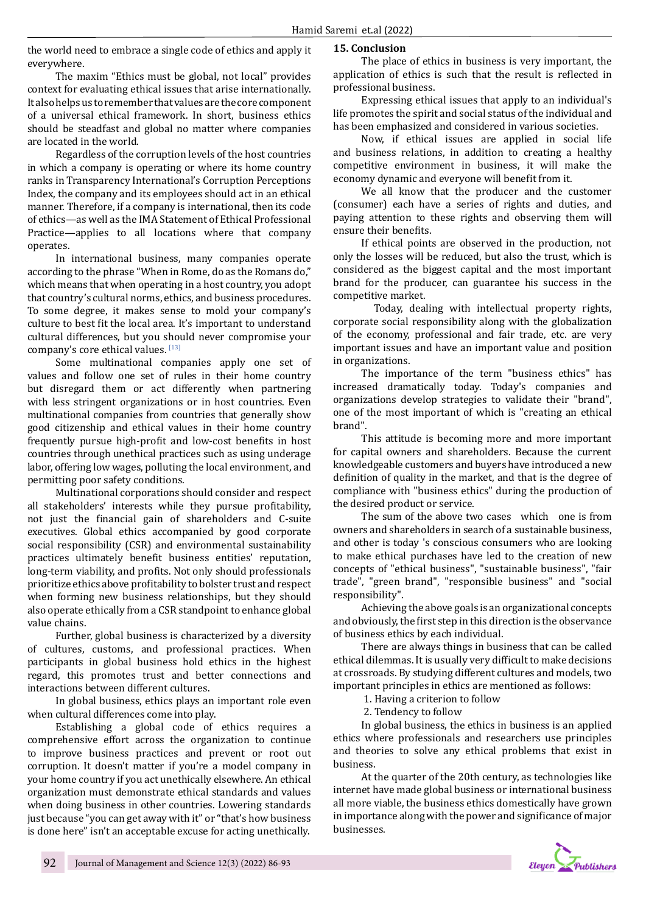the world need to embrace a single code of ethics and apply it everywhere.

The maxim "Ethics must be global, not local" provides context for evaluating ethical issues that arise internationally. It also helps us to remember that values are the core component of a universal ethical framework. In short, business ethics should be steadfast and global no matter where companies are located in the world.

Regardless of the corruption levels of the host countries in which a company is operating or where its home country ranks in Transparency International's Corruption Perceptions Index, the company and its employees should act in an ethical manner. Therefore, if a company is international, then its code of ethics—as well as the IMA Statement of Ethical Professional Practice—applies to all locations where that company operates.

In international business, many companies operate according to the phrase "When in Rome, do as the Romans do," which means that when operating in a host country, you adopt that country's cultural norms, ethics, and business procedures. To some degree, it makes sense to mold your company's culture to best fit the local area. It's important to understand cultural differences, but you should never compromise your company's core ethical values. [13]

Some multinational companies apply one set of values and follow one set of rules in their home country but disregard them or act differently when partnering with less stringent organizations or in host countries. Even multinational companies from countries that generally show good citizenship and ethical values in their home country frequently pursue high-profit and low-cost benefits in host countries through unethical practices such as using underage labor, offering low wages, polluting the local environment, and permitting poor safety conditions.

Multinational corporations should consider and respect all stakeholders' interests while they pursue profitability, not just the financial gain of shareholders and C-suite executives. Global ethics accompanied by good corporate social responsibility (CSR) and environmental sustainability practices ultimately benefit business entities' reputation, long-term viability, and profits. Not only should professionals prioritize ethics above profitability to bolster trust and respect when forming new business relationships, but they should also operate ethically from a CSR standpoint to enhance global value chains.

Further, global business is characterized by a diversity of cultures, customs, and professional practices. When participants in global business hold ethics in the highest regard, this promotes trust and better connections and interactions between different cultures.

In global business, ethics plays an important role even when cultural differences come into play.

Establishing a global code of ethics requires a comprehensive effort across the organization to continue to improve business practices and prevent or root out corruption. It doesn't matter if you're a model company in your home country if you act unethically elsewhere. An ethical organization must demonstrate ethical standards and values when doing business in other countries. Lowering standards just because "you can get away with it" or "that's how business is done here" isn't an acceptable excuse for acting unethically.

# **15. Conclusion**

The place of ethics in business is very important, the application of ethics is such that the result is reflected in professional business.

Expressing ethical issues that apply to an individual's life promotes the spirit and social status of the individual and has been emphasized and considered in various societies.

Now, if ethical issues are applied in social life and business relations, in addition to creating a healthy competitive environment in business, it will make the economy dynamic and everyone will benefit from it.

We all know that the producer and the customer (consumer) each have a series of rights and duties, and paying attention to these rights and observing them will ensure their benefits.

If ethical points are observed in the production, not only the losses will be reduced, but also the trust, which is considered as the biggest capital and the most important brand for the producer, can guarantee his success in the competitive market.

 Today, dealing with intellectual property rights, corporate social responsibility along with the globalization of the economy, professional and fair trade, etc. are very important issues and have an important value and position in organizations.

The importance of the term "business ethics" has increased dramatically today. Today's companies and organizations develop strategies to validate their "brand", one of the most important of which is "creating an ethical brand".

This attitude is becoming more and more important for capital owners and shareholders. Because the current knowledgeable customers and buyers have introduced a new definition of quality in the market, and that is the degree of compliance with "business ethics" during the production of the desired product or service.

The sum of the above two cases which one is from owners and shareholders in search of a sustainable business, and other is today 's conscious consumers who are looking to make ethical purchases have led to the creation of new concepts of "ethical business", "sustainable business", "fair trade", "green brand", "responsible business" and "social responsibility".

Achieving the above goals is an organizational concepts and obviously, the first step in this direction is the observance of business ethics by each individual.

There are always things in business that can be called ethical dilemmas. It is usually very difficult to make decisions at crossroads. By studying different cultures and models, two important principles in ethics are mentioned as follows:

- 1. Having a criterion to follow
- 2. Tendency to follow

In global business, the ethics in business is an applied ethics where professionals and researchers use principles and theories to solve any ethical problems that exist in business.

At the quarter of the 20th century, as technologies like internet have made global business or international business all more viable, the business ethics domestically have grown in importance along with the power and significance of major businesses.